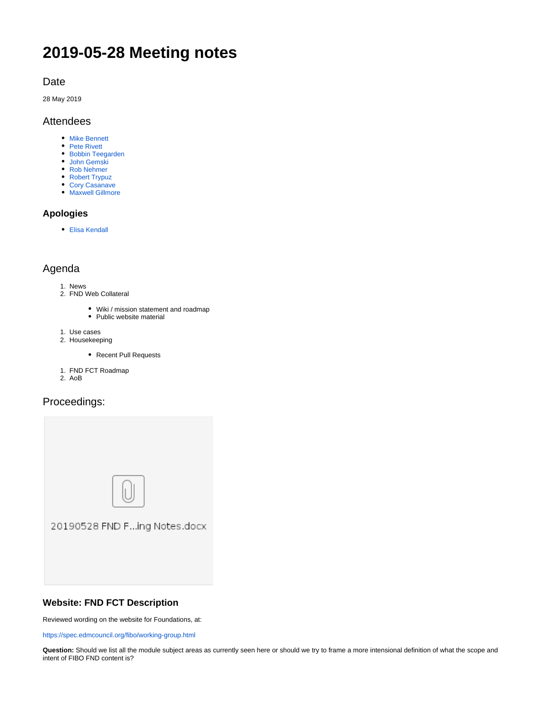# **2019-05-28 Meeting notes**

# Date

28 May 2019

# Attendees

- **[Mike Bennett](https://wiki.edmcouncil.org/display/~MikeHypercube)**
- [Pete Rivett](https://wiki.edmcouncil.org/display/~rivettp)
- [Bobbin Teegarden](https://wiki.edmcouncil.org/display/~teegs)
- [John Gemski](https://wiki.edmcouncil.org/display/~jgemski) [Rob Nehmer](https://wiki.edmcouncil.org/display/~nehmer)
- [Robert Trypuz](https://wiki.edmcouncil.org/display/~trypuz1)
- [Cory Casanave](https://wiki.edmcouncil.org/display/~CoryCasanave)
- [Maxwell Gillmore](https://wiki.edmcouncil.org/display/~maxwellrgillmore)

# **Apologies**

[Elisa Kendall](https://wiki.edmcouncil.org/display/~ElisaKendall)

# Agenda

- 1. News
- 2. FND Web Collateral
	- Wiki / mission statement and roadmap
	- Public website material
- 1. Use cases
- 2. Housekeeping
	- Recent Pull Requests
- 1. FND FCT Roadmap
- 2. AoB

# Proceedings:



# **Website: FND FCT Description**

Reviewed wording on the website for Foundations, at:

<https://spec.edmcouncil.org/fibo/working-group.html>

**Question:** Should we list all the module subject areas as currently seen here or should we try to frame a more intensional definition of what the scope and intent of FIBO FND content is?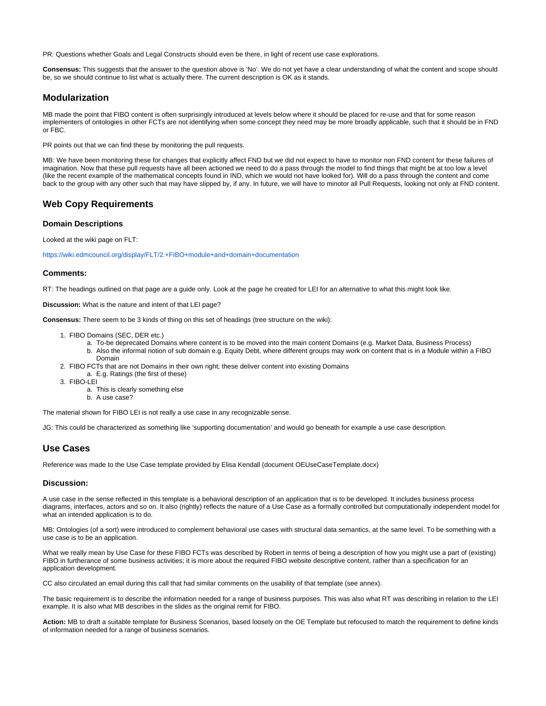PR: Questions whether Goals and Legal Constructs should even be there, in light of recent use case explorations.

**Consensus:** This suggests that the answer to the question above is 'No'. We do not yet have a clear understanding of what the content and scope should be, so we should continue to list what is actually there. The current description is OK as it stands.

# **Modularization**

MB made the point that FIBO content is often surprisingly introduced at levels below where it should be placed for re-use and that for some reason implementers of ontologies in other FCTs are not identifying when some concept they need may be more broadly applicable, such that it should be in FND or FBC.

PR points out that we can find these by monitoring the pull requests.

MB: We have been monitoring these for changes that explicitly affect FND but we did not expect to have to monitor non FND content for these failures of imagination. Now that these pull requests have all been actioned we need to do a pass through the model to find things that might be at too low a level (like the recent example of the mathematical concepts found in IND, which we would not have looked for). Will do a pass through the content and come back to the group with any other such that may have slipped by, if any. In future, we will have to minotor all Pull Requests, looking not only at FND content.

# **Web Copy Requirements**

#### **Domain Descriptions**

Looked at the wiki page on FLT:

<https://wiki.edmcouncil.org/display/FLT/2.+FIBO+module+and+domain+documentation>

#### **Comments:**

RT: The headings outlined on that page are a guide only. Look at the page he created for LEI for an alternative to what this might look like.

**Discussion:** What is the nature and intent of that LEI page?

**Consensus:** There seem to be 3 kinds of thing on this set of headings (tree structure on the wiki):

- 1. FIBO Domains (SEC, DER etc.)
	- a. To-be deprecated Domains where content is to be moved into the main content Domains (e.g. Market Data, Business Process) b. Also the informal notion of sub domain e.g. Equity Debt, where different groups may work on content that is in a Module within a FIBO Domain
- 2. FIBO FCTs that are not Domains in their own right; these deliver content into existing Domains
	- a. E.g. Ratings (the first of these)
- 3. FIBO-LEI
	- a. This is clearly something else
	- b. A use case?

The material shown for FIBO LEI is not really a use case in any recognizable sense.

JG: This could be characterized as something like 'supporting documentation' and would go beneath for example a use case description.

### **Use Cases**

Reference was made to the Use Case template provided by Elisa Kendall (document OEUseCaseTemplate.docx)

#### **Discussion:**

A use case in the sense reflected in this template is a behavioral description of an application that is to be developed. It includes business process diagrams, interfaces, actors and so on. It also (rightly) reflects the nature of a Use Case as a formally controlled but computationally independent model for what an intended application is to do.

MB: Ontologies (of a sort) were introduced to complement behavioral use cases with structural data semantics, at the same level. To be something with a use case is to be an application.

What we really mean by Use Case for these FIBO FCTs was described by Robert in terms of being a description of how you might use a part of (existing) FIBO in furtherance of some business activities; it is more about the required FIBO website descriptive content, rather than a specification for an application development.

CC also circulated an email during this call that had similar comments on the usability of that template (see annex).

The basic requirement is to describe the information needed for a range of business purposes. This was also what RT was describing in relation to the LEI example. It is also what MB describes in the slides as the original remit for FIBO.

**Action:** MB to draft a suitable template for Business Scenarios, based loosely on the OE Template but refocused to match the requirement to define kinds of information needed for a range of business scenarios.